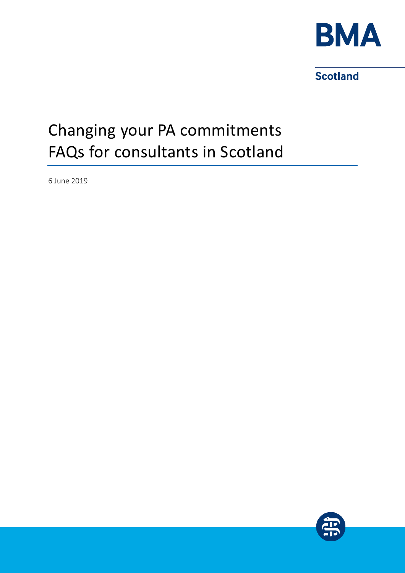

**Scotland** 

# Changing your PA commitments FAQs for consultants in Scotland

6 June 2019

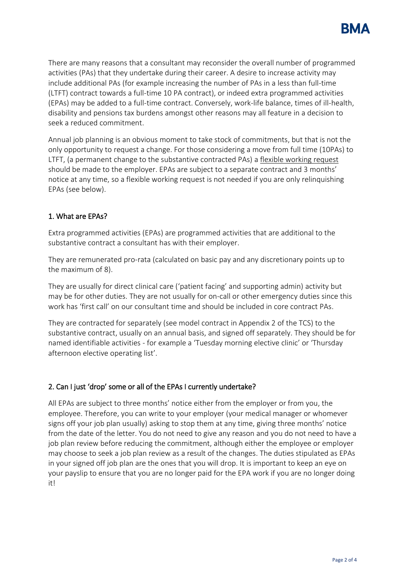

There are many reasons that a consultant may reconsider the overall number of programmed activities (PAs) that they undertake during their career. A desire to increase activity may include additional PAs (for example increasing the number of PAs in a less than full-time (LTFT) contract towards a full-time 10 PA contract), or indeed extra programmed activities (EPAs) may be added to a full-time contract. Conversely, work-life balance, times of ill-health, disability and pensions tax burdens amongst other reasons may all feature in a decision to seek a reduced commitment.

Annual job planning is an obvious moment to take stock of commitments, but that is not the only opportunity to request a change. For those considering a move from full time (10PAs) to LTFT, (a permanent change to the substantive contracted PAs) a flexible working request should be made to the employer. EPAs are subject to a separate contract and 3 months' notice at any time, so a flexible working request is not needed if you are only relinquishing EPAs (see below).

### 1. What are EPAs?

Extra programmed activities (EPAs) are programmed activities that are additional to the substantive contract a consultant has with their employer.

They are remunerated pro-rata (calculated on basic pay and any discretionary points up to the maximum of 8).

They are usually for direct clinical care ('patient facing' and supporting admin) activity but may be for other duties. They are not usually for on-call or other emergency duties since this work has 'first call' on our consultant time and should be included in core contract PAs.

They are contracted for separately (see model contract in Appendix 2 of the TCS) to the substantive contract, usually on an annual basis, and signed off separately. They should be for named identifiable activities - for example a 'Tuesday morning elective clinic' or 'Thursday afternoon elective operating list'.

#### 2. Can I just 'drop' some or all of the EPAs I currently undertake?

All EPAs are subject to three months' notice either from the employer or from you, the employee. Therefore, you can write to your employer (your medical manager or whomever signs off your job plan usually) asking to stop them at any time, giving three months' notice from the date of the letter. You do not need to give any reason and you do not need to have a job plan review before reducing the commitment, although either the employee or employer may choose to seek a job plan review as a result of the changes. The duties stipulated as EPAs in your signed off job plan are the ones that you will drop. It is important to keep an eye on your payslip to ensure that you are no longer paid for the EPA work if you are no longer doing it!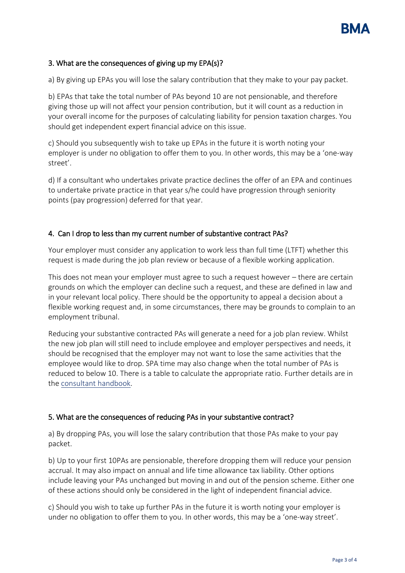

## 3. What are the consequences of giving up my EPA(s)?

a) By giving up EPAs you will lose the salary contribution that they make to your pay packet.

b) EPAs that take the total number of PAs beyond 10 are not pensionable, and therefore giving those up will not affect your pension contribution, but it will count as a reduction in your overall income for the purposes of calculating liability for pension taxation charges. You should get independent expert financial advice on this issue.

c) Should you subsequently wish to take up EPAs in the future it is worth noting your employer is under no obligation to offer them to you. In other words, this may be a 'one-way street'.

d) If a consultant who undertakes private practice declines the offer of an EPA and continues to undertake private practice in that year s/he could have progression through seniority points (pay progression) deferred for that year.

## 4. Can I drop to less than my current number of substantive contract PAs?

Your employer must consider any application to work less than full time (LTFT) whether this request is made during the job plan review or because of a flexible working application.

This does not mean your employer must agree to such a request however – there are certain grounds on which the employer can decline such a request, and these are defined in law and in your relevant local policy. There should be the opportunity to appeal a decision about a flexible working request and, in some circumstances, there may be grounds to complain to an employment tribunal.

Reducing your substantive contracted PAs will generate a need for a job plan review. Whilst the new job plan will still need to include employee and employer perspectives and needs, it should be recognised that the employer may not want to lose the same activities that the employee would like to drop. SPA time may also change when the total number of PAs is reduced to below 10. There is a table to calculate the appropriate ratio. Further details are in th[e consultant handbook.](https://www.bma.org.uk/-/media/files/pdfs/practical%20advice%20at%20work/contracts/consultant%20handbook%20bma%20scotland%202014.pdf?la=en)

## 5. What are the consequences of reducing PAs in your substantive contract?

a) By dropping PAs, you will lose the salary contribution that those PAs make to your pay packet.

b) Up to your first 10PAs are pensionable, therefore dropping them will reduce your pension accrual. It may also impact on annual and life time allowance tax liability. Other options include leaving your PAs unchanged but moving in and out of the pension scheme. Either one of these actions should only be considered in the light of independent financial advice.

c) Should you wish to take up further PAs in the future it is worth noting your employer is under no obligation to offer them to you. In other words, this may be a 'one-way street'.